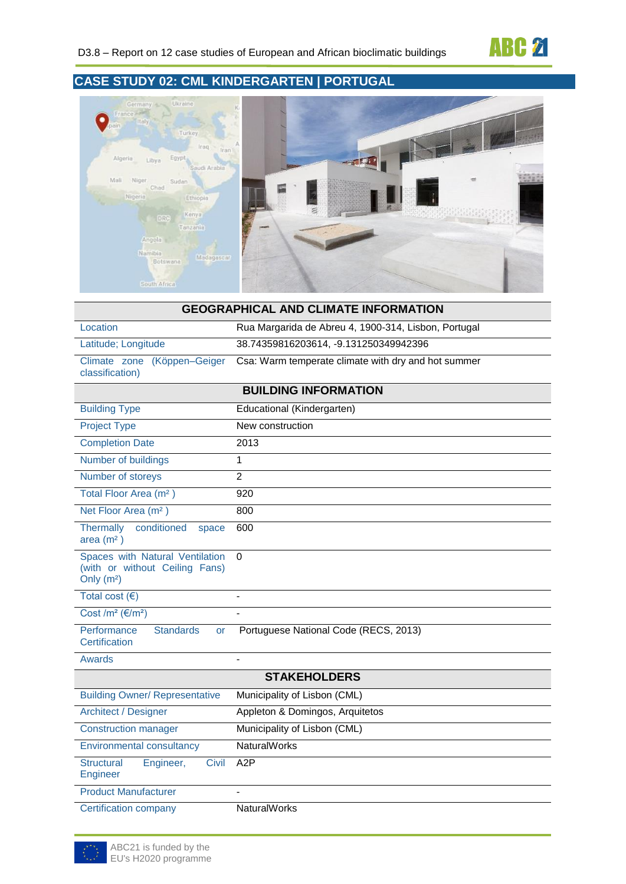

# **CASE STUDY 02: CML KINDERGARTEN | PORTUGAL**



| <b>GEOGRAPHICAL AND CLIMATE INFORMATION</b>                                      |                                                      |  |  |
|----------------------------------------------------------------------------------|------------------------------------------------------|--|--|
| Location                                                                         | Rua Margarida de Abreu 4, 1900-314, Lisbon, Portugal |  |  |
| Latitude; Longitude                                                              | 38.74359816203614, -9.131250349942396                |  |  |
| (Köppen-Geiger<br>Climate zone<br>classification)                                | Csa: Warm temperate climate with dry and hot summer  |  |  |
|                                                                                  | <b>BUILDING INFORMATION</b>                          |  |  |
| <b>Building Type</b>                                                             | Educational (Kindergarten)                           |  |  |
| <b>Project Type</b>                                                              | New construction                                     |  |  |
| <b>Completion Date</b>                                                           | 2013                                                 |  |  |
| Number of buildings                                                              | 1                                                    |  |  |
| Number of storeys                                                                | $\mathfrak{p}$                                       |  |  |
| Total Floor Area (m <sup>2</sup> )                                               | 920                                                  |  |  |
| Net Floor Area (m <sup>2</sup> )                                                 | 800                                                  |  |  |
| Thermally<br>conditioned<br>space<br>area (m <sup>2</sup> )                      | 600                                                  |  |  |
| Spaces with Natural Ventilation<br>(with or without Ceiling Fans)<br>Only $(m2)$ | 0                                                    |  |  |
| Total cost $( \in )$                                                             |                                                      |  |  |
| Cost /m <sup>2</sup> ( $\epsilon$ /m <sup>2</sup> )                              |                                                      |  |  |
| Performance<br><b>Standards</b><br><b>or</b><br>Certification                    | Portuguese National Code (RECS, 2013)                |  |  |
| <b>Awards</b>                                                                    |                                                      |  |  |
|                                                                                  | <b>STAKEHOLDERS</b>                                  |  |  |
| <b>Building Owner/ Representative</b>                                            | Municipality of Lisbon (CML)                         |  |  |
| <b>Architect / Designer</b>                                                      | Appleton & Domingos, Arquitetos                      |  |  |
| <b>Construction manager</b>                                                      | Municipality of Lisbon (CML)                         |  |  |
| <b>Environmental consultancy</b>                                                 | <b>NaturalWorks</b>                                  |  |  |
| <b>Structural</b><br>Engineer,<br>Civil<br>Engineer                              | A2P                                                  |  |  |
| <b>Product Manufacturer</b>                                                      |                                                      |  |  |
| <b>Certification company</b>                                                     | <b>NaturalWorks</b>                                  |  |  |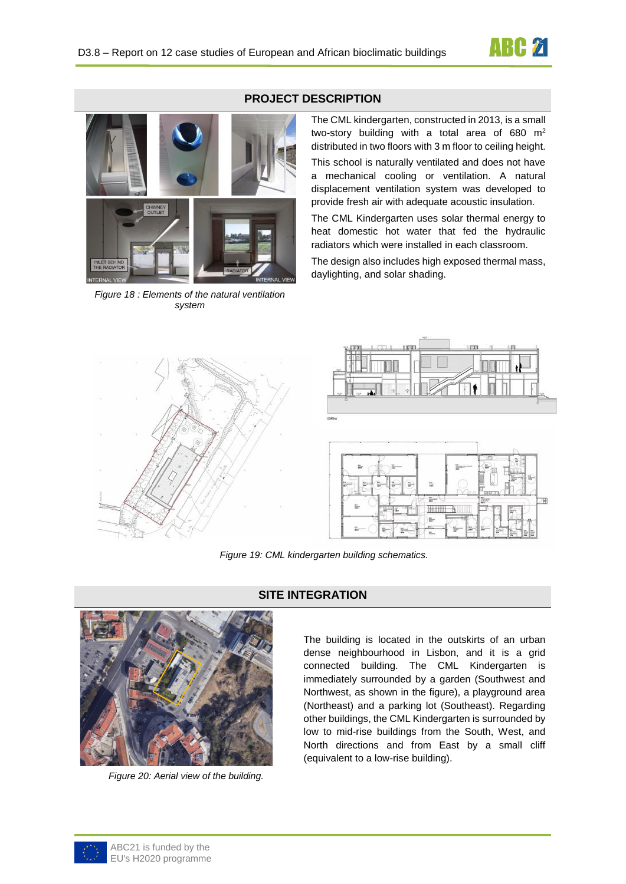



*Figure 18 : Elements of the natural ventilation system*

### **PROJECT DESCRIPTION**

The CML kindergarten, constructed in 2013, is a small two-story building with a total area of 680  $m<sup>2</sup>$ distributed in two floors with 3 m floor to ceiling height.

This school is naturally ventilated and does not have a mechanical cooling or ventilation. A natural displacement ventilation system was developed to provide fresh air with adequate acoustic insulation.

The CML Kindergarten uses solar thermal energy to heat domestic hot water that fed the hydraulic radiators which were installed in each classroom.

The design also includes high exposed thermal mass, daylighting, and solar shading.





*Figure 19: CML kindergarten building schematics.*



*Figure 20: Aerial view of the building.*

## **SITE INTEGRATION**

The building is located in the outskirts of an urban dense neighbourhood in Lisbon, and it is a grid connected building. The CML Kindergarten is immediately surrounded by a garden (Southwest and Northwest, as shown in the figure), a playground area (Northeast) and a parking lot (Southeast). Regarding other buildings, the CML Kindergarten is surrounded by low to mid-rise buildings from the South, West, and North directions and from East by a small cliff (equivalent to a low-rise building).

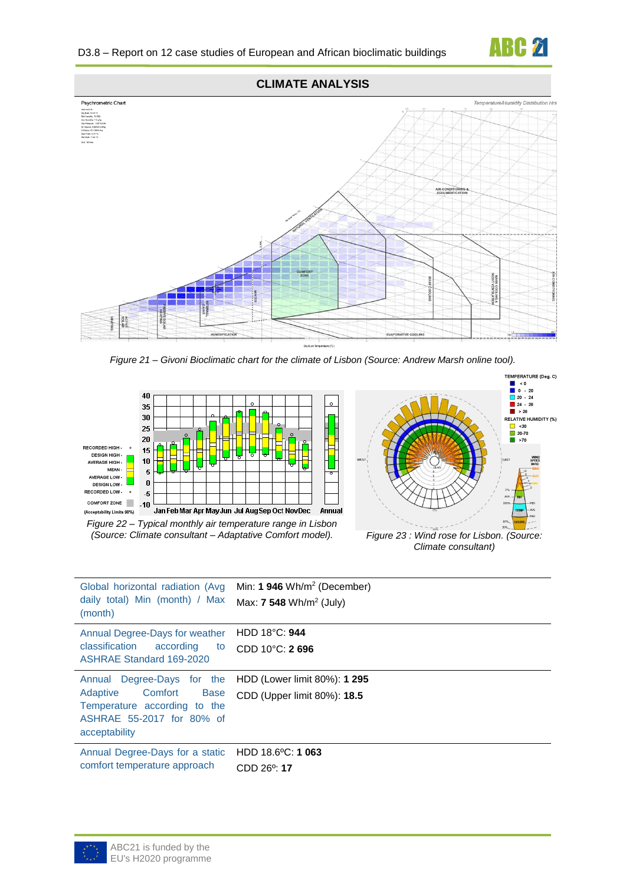

TEMPERATURE (Deg. C)

**CLIMATE ANALYSIS**



*Figure 21 – Givoni Bioclimatic chart for the climate of Lisbon (Source: Andrew Marsh online tool).*





*(Source: Climate consultant – Adaptative Comfort model). Figure 23 : Wind rose for Lisbon. (Source: Climate consultant)*

| Global horizontal radiation (Avg<br>daily total) Min (month) / Max<br>(month)                                                                     | Min: $1946 \text{ Wh/m}^2$ (December)<br>Max: <b>7 548</b> Wh/m <sup>2</sup> (July) |
|---------------------------------------------------------------------------------------------------------------------------------------------------|-------------------------------------------------------------------------------------|
| Annual Degree-Days for weather<br>classification<br>according<br>to<br>ASHRAE Standard 169-2020                                                   | HDD 18°C: 944<br>$CDD 10^{\circ}$ C: 2696                                           |
| Degree-Days for the<br>Annual<br>Adaptive<br>Comfort<br><b>Base</b><br>Temperature according to the<br>ASHRAE 55-2017 for 80% of<br>acceptability | HDD (Lower limit 80%): 1 295<br>CDD (Upper limit 80%): 18.5                         |
| Annual Degree-Days for a static<br>comfort temperature approach                                                                                   | HDD $18.6^{\circ}$ C: 1 063<br>CDD 26 <sup>o</sup> : 17                             |

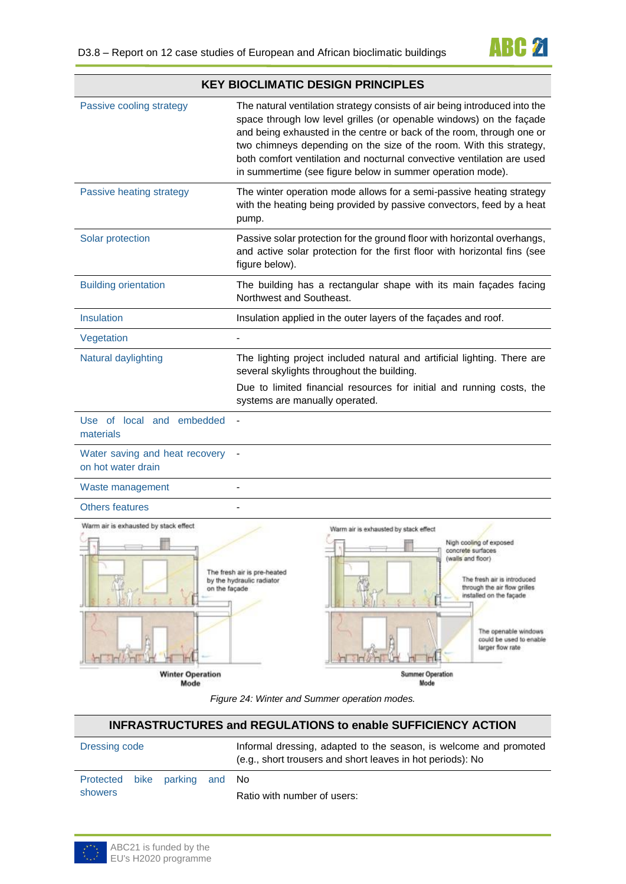|                                                        | <b>KEY BIOCLIMATIC DESIGN PRINCIPLES</b>                                                                                                                                                                                                                                                                                                                                                                                                  |  |  |  |  |
|--------------------------------------------------------|-------------------------------------------------------------------------------------------------------------------------------------------------------------------------------------------------------------------------------------------------------------------------------------------------------------------------------------------------------------------------------------------------------------------------------------------|--|--|--|--|
| Passive cooling strategy                               | The natural ventilation strategy consists of air being introduced into the<br>space through low level grilles (or openable windows) on the façade<br>and being exhausted in the centre or back of the room, through one or<br>two chimneys depending on the size of the room. With this strategy,<br>both comfort ventilation and nocturnal convective ventilation are used<br>in summertime (see figure below in summer operation mode). |  |  |  |  |
| Passive heating strategy                               | The winter operation mode allows for a semi-passive heating strategy<br>with the heating being provided by passive convectors, feed by a heat<br>pump.                                                                                                                                                                                                                                                                                    |  |  |  |  |
| Solar protection                                       | Passive solar protection for the ground floor with horizontal overhangs,<br>and active solar protection for the first floor with horizontal fins (see<br>figure below).                                                                                                                                                                                                                                                                   |  |  |  |  |
| <b>Building orientation</b>                            | The building has a rectangular shape with its main façades facing<br>Northwest and Southeast.                                                                                                                                                                                                                                                                                                                                             |  |  |  |  |
| Insulation                                             | Insulation applied in the outer layers of the façades and roof.                                                                                                                                                                                                                                                                                                                                                                           |  |  |  |  |
| Vegetation                                             |                                                                                                                                                                                                                                                                                                                                                                                                                                           |  |  |  |  |
| Natural daylighting                                    | The lighting project included natural and artificial lighting. There are<br>several skylights throughout the building.<br>Due to limited financial resources for initial and running costs, the<br>systems are manually operated.                                                                                                                                                                                                         |  |  |  |  |
| Use of local and embedded<br>materials                 |                                                                                                                                                                                                                                                                                                                                                                                                                                           |  |  |  |  |
| Water saving and heat recovery<br>on hot water drain   |                                                                                                                                                                                                                                                                                                                                                                                                                                           |  |  |  |  |
| Waste management                                       |                                                                                                                                                                                                                                                                                                                                                                                                                                           |  |  |  |  |
| <b>Others features</b>                                 |                                                                                                                                                                                                                                                                                                                                                                                                                                           |  |  |  |  |
| Warm air is exhausted by stack effect<br>on the façade | Warm air is exhausted by stack effect<br>Nigh cooling of exposed<br>concrete surfaces<br>(walls and floor)<br>The fresh air is pre-heated<br>The fresh air is introduced<br>by the hydraulic radiator<br>through the air flow grilles<br>installed on the façade<br>The openable windows<br>could be used to enable<br>larger flow rate                                                                                                   |  |  |  |  |
| <b>Winter Operation</b><br>Mode                        | <b>Summer Operation</b><br>Mode                                                                                                                                                                                                                                                                                                                                                                                                           |  |  |  |  |

*Figure 24: Winter and Summer operation modes.*

## <span id="page-3-0"></span>**INFRASTRUCTURES and REGULATIONS to enable SUFFICIENCY ACTION**

| Dressing code                            |  |  | Informal dressing, adapted to the season, is welcome and promoted<br>(e.g., short trousers and short leaves in hot periods): No |
|------------------------------------------|--|--|---------------------------------------------------------------------------------------------------------------------------------|
| Protected bike parking and No<br>showers |  |  | Ratio with number of users:                                                                                                     |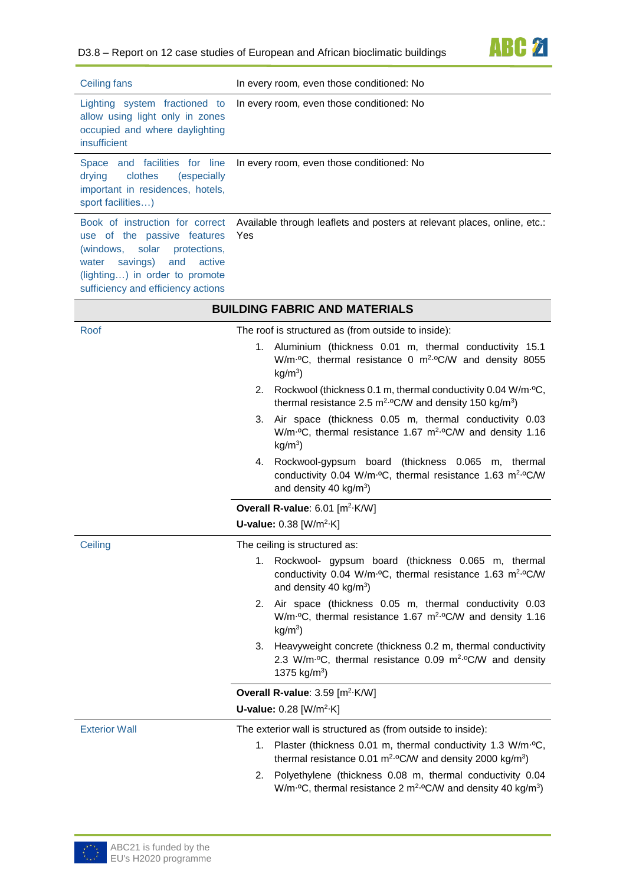

| <b>Ceiling fans</b>                                                                                                                                                                                                | In every room, even those conditioned: No                                                                                                                                             |  |  |  |
|--------------------------------------------------------------------------------------------------------------------------------------------------------------------------------------------------------------------|---------------------------------------------------------------------------------------------------------------------------------------------------------------------------------------|--|--|--|
| Lighting system fractioned to<br>allow using light only in zones<br>occupied and where daylighting<br>insufficient                                                                                                 | In every room, even those conditioned: No                                                                                                                                             |  |  |  |
| Space and facilities for line<br>clothes<br>drying<br>(especially<br>important in residences, hotels,<br>sport facilities)                                                                                         | In every room, even those conditioned: No                                                                                                                                             |  |  |  |
| Book of instruction for correct<br>use of the passive features<br>solar<br>protections,<br>(windows,<br>and<br>savings)<br>active<br>water<br>(lighting) in order to promote<br>sufficiency and efficiency actions | Available through leaflets and posters at relevant places, online, etc.:<br>Yes                                                                                                       |  |  |  |
|                                                                                                                                                                                                                    | <b>BUILDING FABRIC AND MATERIALS</b>                                                                                                                                                  |  |  |  |
| Roof                                                                                                                                                                                                               | The roof is structured as (from outside to inside):                                                                                                                                   |  |  |  |
|                                                                                                                                                                                                                    | 1. Aluminium (thickness 0.01 m, thermal conductivity 15.1<br>W/m <sup>.o</sup> C, thermal resistance 0 m <sup>2.o</sup> C/W and density 8055<br>$kg/m3$ )                             |  |  |  |
|                                                                                                                                                                                                                    | 2. Rockwool (thickness 0.1 m, thermal conductivity 0.04 W/m <sup>.o</sup> C,<br>thermal resistance 2.5 $m^2$ -°C/W and density 150 kg/m <sup>3</sup> )                                |  |  |  |
|                                                                                                                                                                                                                    | 3. Air space (thickness 0.05 m, thermal conductivity 0.03<br>W/m·ºC, thermal resistance 1.67 m <sup>2.o</sup> C/W and density 1.16<br>$kg/m3$ )                                       |  |  |  |
|                                                                                                                                                                                                                    | 4. Rockwool-gypsum board (thickness 0.065<br>m, thermal<br>conductivity 0.04 W/m·ºC, thermal resistance 1.63 m <sup>2.o</sup> C/W<br>and density 40 $kg/m3$ )                         |  |  |  |
|                                                                                                                                                                                                                    | Overall R-value: 6.01 [m <sup>2</sup> ·K/W]                                                                                                                                           |  |  |  |
|                                                                                                                                                                                                                    | <b>U-value:</b> $0.38$ [W/m <sup>2</sup> ·K]                                                                                                                                          |  |  |  |
| Ceiling                                                                                                                                                                                                            | The ceiling is structured as:                                                                                                                                                         |  |  |  |
|                                                                                                                                                                                                                    | Rockwool- gypsum board (thickness 0.065 m, thermal<br>1.<br>conductivity 0.04 W/m <sup>.o</sup> C, thermal resistance 1.63 m <sup>2.o</sup> C/W<br>and density 40 kg/m <sup>3</sup> ) |  |  |  |
|                                                                                                                                                                                                                    | Air space (thickness 0.05 m, thermal conductivity 0.03<br>2.<br>W/m·ºC, thermal resistance 1.67 m <sup>2.o</sup> C/W and density 1.16<br>$kg/m3$ )                                    |  |  |  |
|                                                                                                                                                                                                                    | 3. Heavyweight concrete (thickness 0.2 m, thermal conductivity<br>2.3 W/m <sup>o</sup> C, thermal resistance 0.09 m <sup>2.o</sup> C/W and density<br>1375 $kg/m3$ )                  |  |  |  |
|                                                                                                                                                                                                                    | Overall R-value: 3.59 [m <sup>2</sup> ·K/W]                                                                                                                                           |  |  |  |
|                                                                                                                                                                                                                    | <b>U-value:</b> $0.28$ [W/m <sup>2</sup> ·K]                                                                                                                                          |  |  |  |
| <b>Exterior Wall</b>                                                                                                                                                                                               | The exterior wall is structured as (from outside to inside):                                                                                                                          |  |  |  |
|                                                                                                                                                                                                                    | 1. Plaster (thickness 0.01 m, thermal conductivity 1.3 W/m <sup>.o</sup> C,<br>thermal resistance 0.01 $m^2$ -°C/W and density 2000 kg/m <sup>3</sup> )                               |  |  |  |
|                                                                                                                                                                                                                    | Polyethylene (thickness 0.08 m, thermal conductivity 0.04<br>2.<br>W/m <sup>o</sup> C, thermal resistance 2 m <sup>2o</sup> C/W and density 40 kg/m <sup>3</sup> )                    |  |  |  |

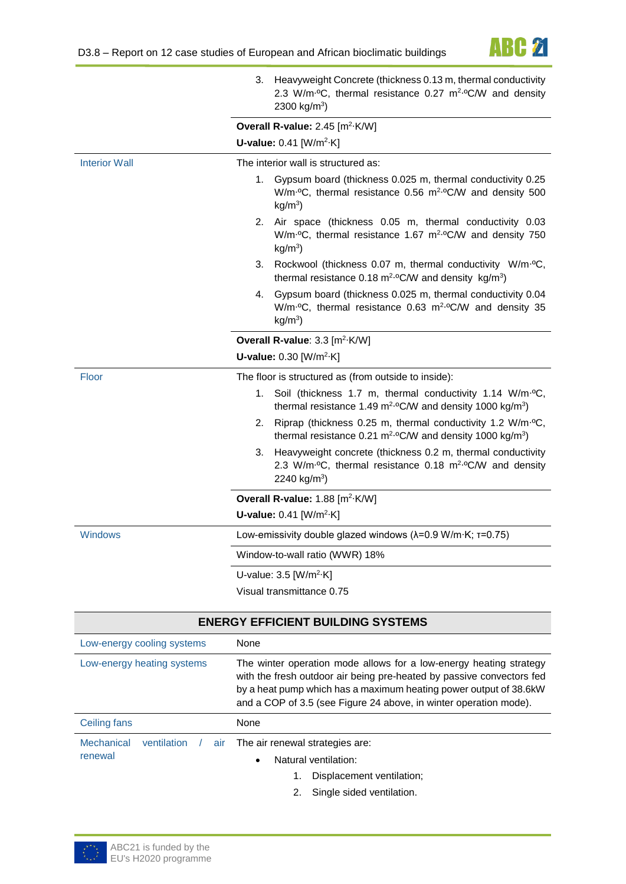

|                      | 3. Heavyweight Concrete (thickness 0.13 m, thermal conductivity<br>2.3 W/m <sup>.o</sup> C, thermal resistance 0.27 m <sup>2.o</sup> C/W and density<br>2300 kg/m <sup>3</sup> ) |  |  |  |  |
|----------------------|----------------------------------------------------------------------------------------------------------------------------------------------------------------------------------|--|--|--|--|
|                      | Overall R-value: 2.45 [m <sup>2</sup> ·K/W]                                                                                                                                      |  |  |  |  |
|                      | <b>U-value:</b> $0.41$ [W/m <sup>2</sup> ·K]                                                                                                                                     |  |  |  |  |
| <b>Interior Wall</b> | The interior wall is structured as:                                                                                                                                              |  |  |  |  |
|                      | Gypsum board (thickness 0.025 m, thermal conductivity 0.25<br>1.<br>W/m·ºC, thermal resistance 0.56 m <sup>2.o</sup> C/W and density 500<br>$kg/m3$ )                            |  |  |  |  |
|                      | 2. Air space (thickness 0.05 m, thermal conductivity 0.03<br>W/m·ºC, thermal resistance 1.67 m <sup>2.o</sup> C/W and density 750<br>$kg/m3$ )                                   |  |  |  |  |
|                      | 3. Rockwool (thickness 0.07 m, thermal conductivity W/m·ºC,<br>thermal resistance 0.18 $m^2$ °C/W and density kg/m <sup>3</sup> )                                                |  |  |  |  |
|                      | Gypsum board (thickness 0.025 m, thermal conductivity 0.04<br>4.<br>W/m·°C, thermal resistance 0.63 m <sup>2.</sup> °C/W and density 35<br>$kg/m3$ )                             |  |  |  |  |
|                      | Overall R-value: 3.3 [m <sup>2</sup> ·K/W]                                                                                                                                       |  |  |  |  |
|                      | <b>U-value:</b> $0.30$ [W/m <sup>2</sup> ·K]                                                                                                                                     |  |  |  |  |
| <b>Floor</b>         | The floor is structured as (from outside to inside):                                                                                                                             |  |  |  |  |
|                      | 1. Soil (thickness 1.7 m, thermal conductivity 1.14 W/m·ºC,<br>thermal resistance 1.49 $m^2$ °C/W and density 1000 kg/m <sup>3</sup> )                                           |  |  |  |  |
|                      | 2. Riprap (thickness 0.25 m, thermal conductivity 1.2 W/m <sup>.o</sup> C,<br>thermal resistance 0.21 m <sup>2.o</sup> C/W and density 1000 kg/m <sup>3</sup> )                  |  |  |  |  |
|                      | 3. Heavyweight concrete (thickness 0.2 m, thermal conductivity<br>2.3 W/m <sup>.o</sup> C, thermal resistance 0.18 m <sup>2.o</sup> C/W and density<br>2240 kg/m <sup>3</sup> )  |  |  |  |  |
|                      | Overall R-value: 1.88 [m <sup>2</sup> ·K/W]                                                                                                                                      |  |  |  |  |
|                      | <b>U-value:</b> $0.41$ [W/m <sup>2</sup> ·K]                                                                                                                                     |  |  |  |  |
| <b>Windows</b>       | Low-emissivity double glazed windows ( $\lambda$ =0.9 W/m·K; $\tau$ =0.75)                                                                                                       |  |  |  |  |
|                      | Window-to-wall ratio (WWR) 18%                                                                                                                                                   |  |  |  |  |
|                      | U-value: $3.5$ [W/m <sup>2</sup> ·K]                                                                                                                                             |  |  |  |  |
|                      | Visual transmittance 0.75                                                                                                                                                        |  |  |  |  |

| <b>ENERGY EFFICIENT BUILDING SYSTEMS</b> |                    |                                                                                                                                                                                                                                                                                       |  |  |  |
|------------------------------------------|--------------------|---------------------------------------------------------------------------------------------------------------------------------------------------------------------------------------------------------------------------------------------------------------------------------------|--|--|--|
| Low-energy cooling systems               |                    | None                                                                                                                                                                                                                                                                                  |  |  |  |
| Low-energy heating systems               |                    | The winter operation mode allows for a low-energy heating strategy<br>with the fresh outdoor air being pre-heated by passive convectors fed<br>by a heat pump which has a maximum heating power output of 38.6kW<br>and a COP of 3.5 (see Figure 24 above, in winter operation mode). |  |  |  |
| Ceiling fans                             |                    | None                                                                                                                                                                                                                                                                                  |  |  |  |
| <b>Mechanical</b><br>renewal             | ventilation<br>air | The air renewal strategies are:                                                                                                                                                                                                                                                       |  |  |  |
|                                          |                    |                                                                                                                                                                                                                                                                                       |  |  |  |
|                                          |                    |                                                                                                                                                                                                                                                                                       |  |  |  |
|                                          |                    | Natural ventilation:<br>$\bullet$<br>Displacement ventilation;<br>Single sided ventilation.                                                                                                                                                                                           |  |  |  |

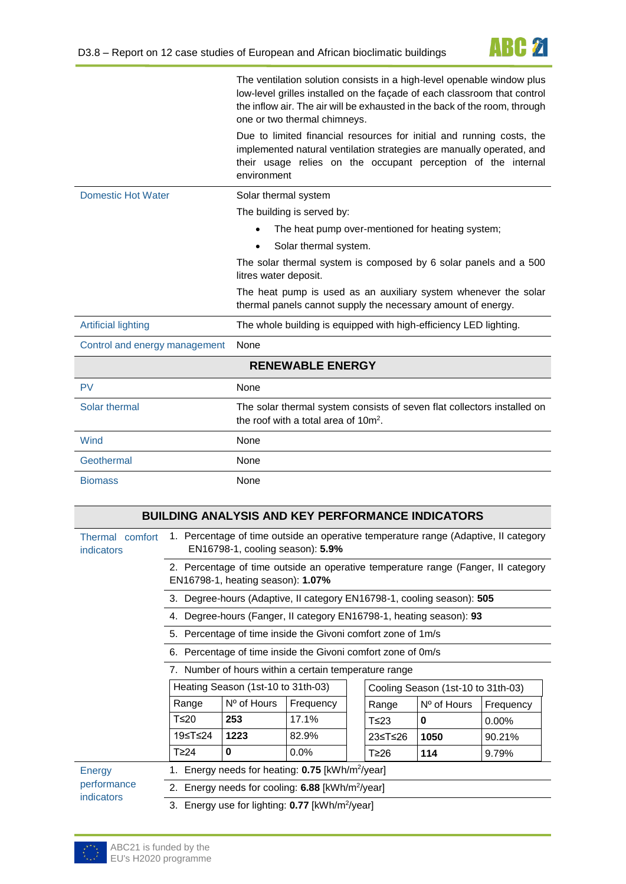

|                               | The ventilation solution consists in a high-level openable window plus<br>low-level grilles installed on the façade of each classroom that control<br>the inflow air. The air will be exhausted in the back of the room, through<br>one or two thermal chimneys. |
|-------------------------------|------------------------------------------------------------------------------------------------------------------------------------------------------------------------------------------------------------------------------------------------------------------|
|                               | Due to limited financial resources for initial and running costs, the<br>implemented natural ventilation strategies are manually operated, and<br>their usage relies on the occupant perception of the internal<br>environment                                   |
| <b>Domestic Hot Water</b>     | Solar thermal system                                                                                                                                                                                                                                             |
|                               | The building is served by:                                                                                                                                                                                                                                       |
|                               | The heat pump over-mentioned for heating system;                                                                                                                                                                                                                 |
|                               | Solar thermal system.                                                                                                                                                                                                                                            |
|                               | The solar thermal system is composed by 6 solar panels and a 500<br>litres water deposit.                                                                                                                                                                        |
|                               | The heat pump is used as an auxiliary system whenever the solar<br>thermal panels cannot supply the necessary amount of energy.                                                                                                                                  |
| <b>Artificial lighting</b>    | The whole building is equipped with high-efficiency LED lighting.                                                                                                                                                                                                |
| Control and energy management | None                                                                                                                                                                                                                                                             |
|                               | <b>RENEWABLE ENERGY</b>                                                                                                                                                                                                                                          |
| <b>PV</b>                     | None                                                                                                                                                                                                                                                             |
| Solar thermal                 | The solar thermal system consists of seven flat collectors installed on<br>the roof with a total area of $10m^2$ .                                                                                                                                               |
| Wind                          | None                                                                                                                                                                                                                                                             |
| Geothermal                    | None                                                                                                                                                                                                                                                             |
| <b>Biomass</b>                | None                                                                                                                                                                                                                                                             |

| <b>BUILDING ANALYSIS AND KEY PERFORMANCE INDICATORS</b> |                                                                                                                                                                                                               |                                                              |       |  |            |                                                                        |          |
|---------------------------------------------------------|---------------------------------------------------------------------------------------------------------------------------------------------------------------------------------------------------------------|--------------------------------------------------------------|-------|--|------------|------------------------------------------------------------------------|----------|
| Thermal comfort<br>indicators                           | 1. Percentage of time outside an operative temperature range (Adaptive, Il category<br>EN16798-1, cooling season): 5.9%                                                                                       |                                                              |       |  |            |                                                                        |          |
|                                                         | 2. Percentage of time outside an operative temperature range (Fanger, II category<br>EN16798-1, heating season): 1.07%                                                                                        |                                                              |       |  |            |                                                                        |          |
|                                                         |                                                                                                                                                                                                               |                                                              |       |  |            | 3. Degree-hours (Adaptive, II category EN16798-1, cooling season): 505 |          |
|                                                         | 4.                                                                                                                                                                                                            |                                                              |       |  |            | Degree-hours (Fanger, II category EN16798-1, heating season): 93       |          |
|                                                         |                                                                                                                                                                                                               | 5. Percentage of time inside the Givoni comfort zone of 1m/s |       |  |            |                                                                        |          |
|                                                         | 6. Percentage of time inside the Givoni comfort zone of 0m/s                                                                                                                                                  |                                                              |       |  |            |                                                                        |          |
|                                                         | 7. Number of hours within a certain temperature range<br>Heating Season (1st-10 to 31th-03)<br>Cooling Season (1st-10 to 31th-03)<br>Nº of Hours<br>Frequency<br>Range<br>$No$ of Hours<br>Range<br>Frequency |                                                              |       |  |            |                                                                        |          |
|                                                         |                                                                                                                                                                                                               |                                                              |       |  |            |                                                                        |          |
|                                                         |                                                                                                                                                                                                               |                                                              |       |  |            |                                                                        |          |
|                                                         | T≤20                                                                                                                                                                                                          | 253                                                          | 17.1% |  | $T\leq 23$ | 0                                                                      | $0.00\%$ |
|                                                         | 19≤T≤24                                                                                                                                                                                                       | 1223                                                         | 82.9% |  | 23≤T≤26    | 1050                                                                   | 90.21%   |
|                                                         | T <sub>24</sub>                                                                                                                                                                                               | $\bf{0}$                                                     | 0.0%  |  | T≥26       | 114                                                                    | 9.79%    |
| Energy                                                  | 1. Energy needs for heating: <b>0.75</b> [kWh/m <sup>2</sup> /year]                                                                                                                                           |                                                              |       |  |            |                                                                        |          |
| performance                                             | 2. Energy needs for cooling: 6.88 [kWh/m <sup>2</sup> /year]                                                                                                                                                  |                                                              |       |  |            |                                                                        |          |
| indicators                                              | 3. Energy use for lighting: 0.77 [kWh/m <sup>2</sup> /year]                                                                                                                                                   |                                                              |       |  |            |                                                                        |          |

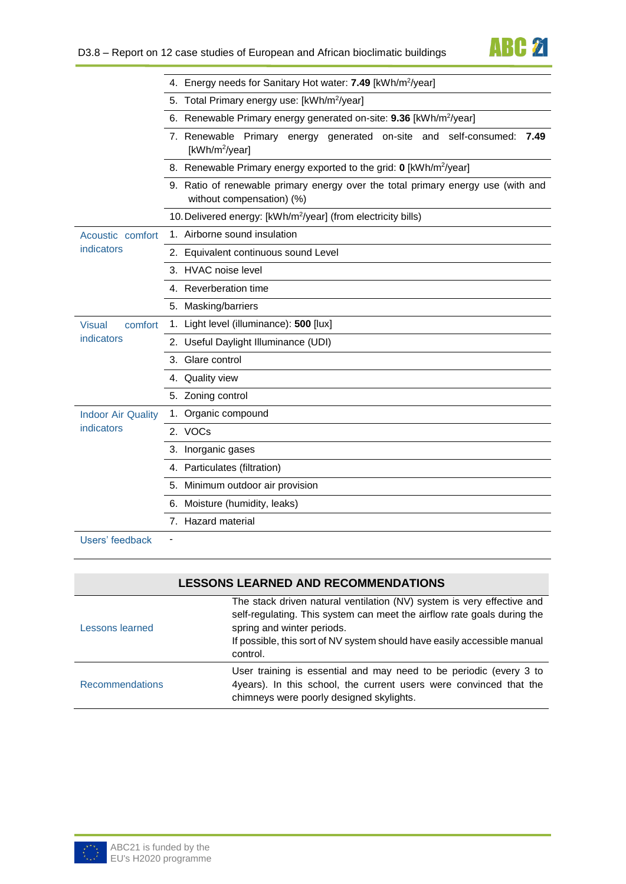**ABC 21** 

|                           | 4. Energy needs for Sanitary Hot water: 7.49 [kWh/m <sup>2</sup> /year]                                       |  |  |  |  |  |  |
|---------------------------|---------------------------------------------------------------------------------------------------------------|--|--|--|--|--|--|
|                           | 5. Total Primary energy use: [kWh/m <sup>2</sup> /year]                                                       |  |  |  |  |  |  |
|                           | 6. Renewable Primary energy generated on-site: 9.36 [kWh/m <sup>2</sup> /year]                                |  |  |  |  |  |  |
|                           | 7. Renewable Primary energy generated on-site and self-consumed: 7.49<br>[kWh/m <sup>2</sup> /year]           |  |  |  |  |  |  |
|                           | 8. Renewable Primary energy exported to the grid: 0 [kWh/m <sup>2</sup> /year]                                |  |  |  |  |  |  |
|                           | 9. Ratio of renewable primary energy over the total primary energy use (with and<br>without compensation) (%) |  |  |  |  |  |  |
|                           | 10. Delivered energy: [kWh/m <sup>2</sup> /year] (from electricity bills)                                     |  |  |  |  |  |  |
| Acoustic comfort          | 1. Airborne sound insulation                                                                                  |  |  |  |  |  |  |
| indicators                | 2. Equivalent continuous sound Level                                                                          |  |  |  |  |  |  |
|                           | 3. HVAC noise level                                                                                           |  |  |  |  |  |  |
|                           | 4. Reverberation time                                                                                         |  |  |  |  |  |  |
|                           | 5. Masking/barriers                                                                                           |  |  |  |  |  |  |
| <b>Visual</b><br>comfort  | 1. Light level (illuminance): 500 [lux]                                                                       |  |  |  |  |  |  |
| indicators                | 2. Useful Daylight Illuminance (UDI)                                                                          |  |  |  |  |  |  |
|                           | 3. Glare control                                                                                              |  |  |  |  |  |  |
|                           | 4. Quality view                                                                                               |  |  |  |  |  |  |
|                           | 5. Zoning control                                                                                             |  |  |  |  |  |  |
| <b>Indoor Air Quality</b> | 1. Organic compound                                                                                           |  |  |  |  |  |  |
| indicators                | 2. VOCs                                                                                                       |  |  |  |  |  |  |
|                           | 3. Inorganic gases                                                                                            |  |  |  |  |  |  |
|                           | 4. Particulates (filtration)                                                                                  |  |  |  |  |  |  |
|                           | 5. Minimum outdoor air provision                                                                              |  |  |  |  |  |  |
|                           | 6. Moisture (humidity, leaks)                                                                                 |  |  |  |  |  |  |
|                           | 7. Hazard material                                                                                            |  |  |  |  |  |  |
| Lloare' foodhook          |                                                                                                               |  |  |  |  |  |  |

Users' feedback

## **LESSONS LEARNED AND RECOMMENDATIONS**

| Lessons learned        | The stack driven natural ventilation (NV) system is very effective and<br>self-regulating. This system can meet the airflow rate goals during the<br>spring and winter periods.<br>If possible, this sort of NV system should have easily accessible manual<br>control. |
|------------------------|-------------------------------------------------------------------------------------------------------------------------------------------------------------------------------------------------------------------------------------------------------------------------|
| <b>Recommendations</b> | User training is essential and may need to be periodic (every 3 to<br>4years). In this school, the current users were convinced that the<br>chimneys were poorly designed skylights.                                                                                    |